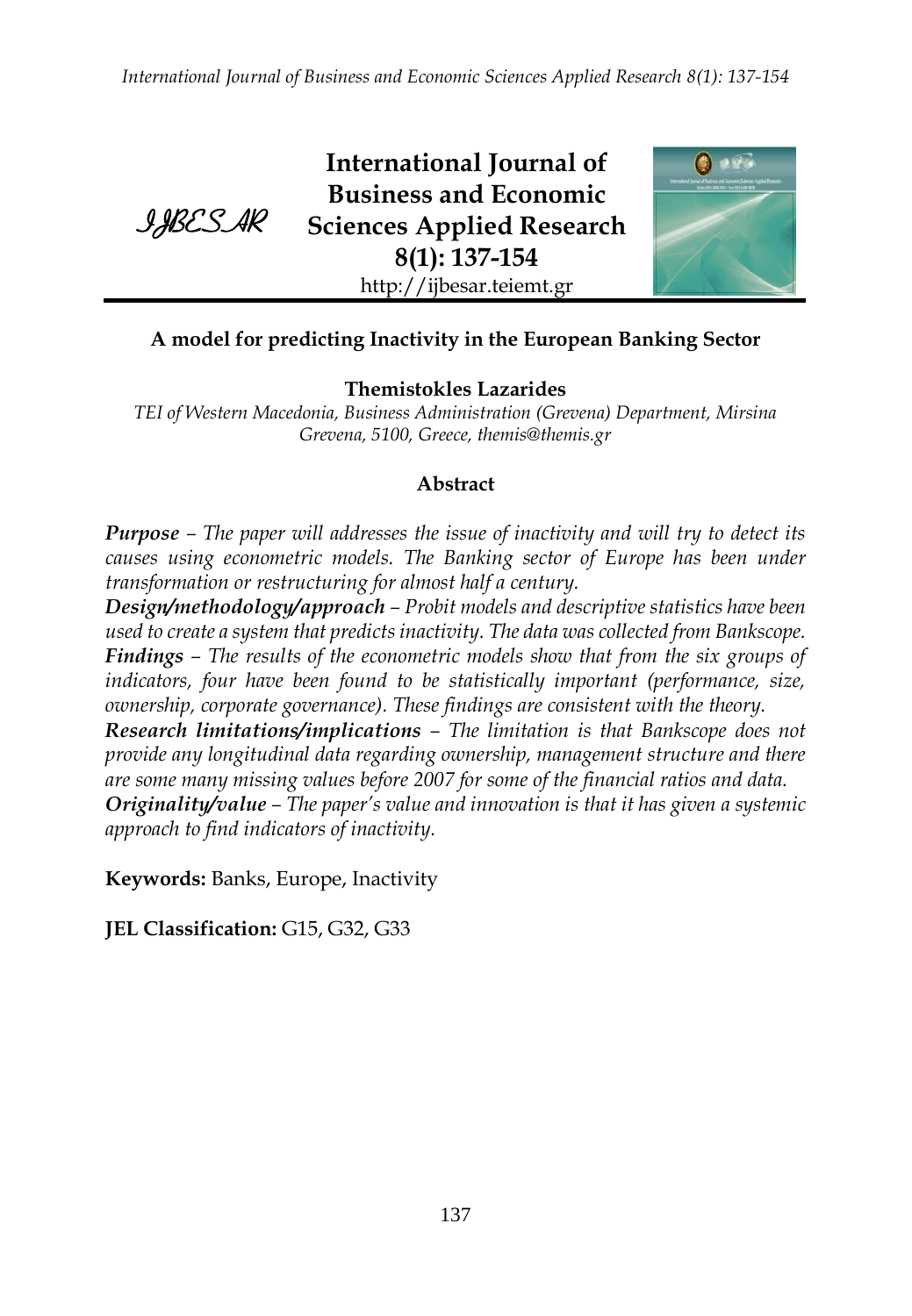*International Journal of Business and Economic Sciences Applied Research 8(1): 137-154*



**International Journal of Business and Economic Sciences Applied Research 8(1): 137-154** http://ijbesar.teiemt.gr



# **A model for predicting Inactivity in the European Banking Sector**

**Themistokles Lazarides** 

*TEI of Western Macedonia, Business Administration (Grevena) Department, Mirsina Grevena, 5100, Greece, themis@themis.gr*

## **Abstract**

*Purpose – The paper will addresses the issue of inactivity and will try to detect its causes using econometric models. The Banking sector of Europe has been under transformation or restructuring for almost half a century.*

*Design/methodology/approach – Probit models and descriptive statistics have been used to create a system that predicts inactivity. The data was collected from Bankscope. Findings – The results of the econometric models show that from the six groups of indicators, four have been found to be statistically important (performance, size, ownership, corporate governance). These findings are consistent with the theory.*

*Research limitations/implications – The limitation is that Bankscope does not provide any longitudinal data regarding ownership, management structure and there are some many missing values before 2007 for some of the financial ratios and data. Originality/value – The paper's value and innovation is that it has given a systemic approach to find indicators of inactivity.*

**Keywords:** Banks, Europe, Inactivity

**JEL Classification:** G15, G32, G33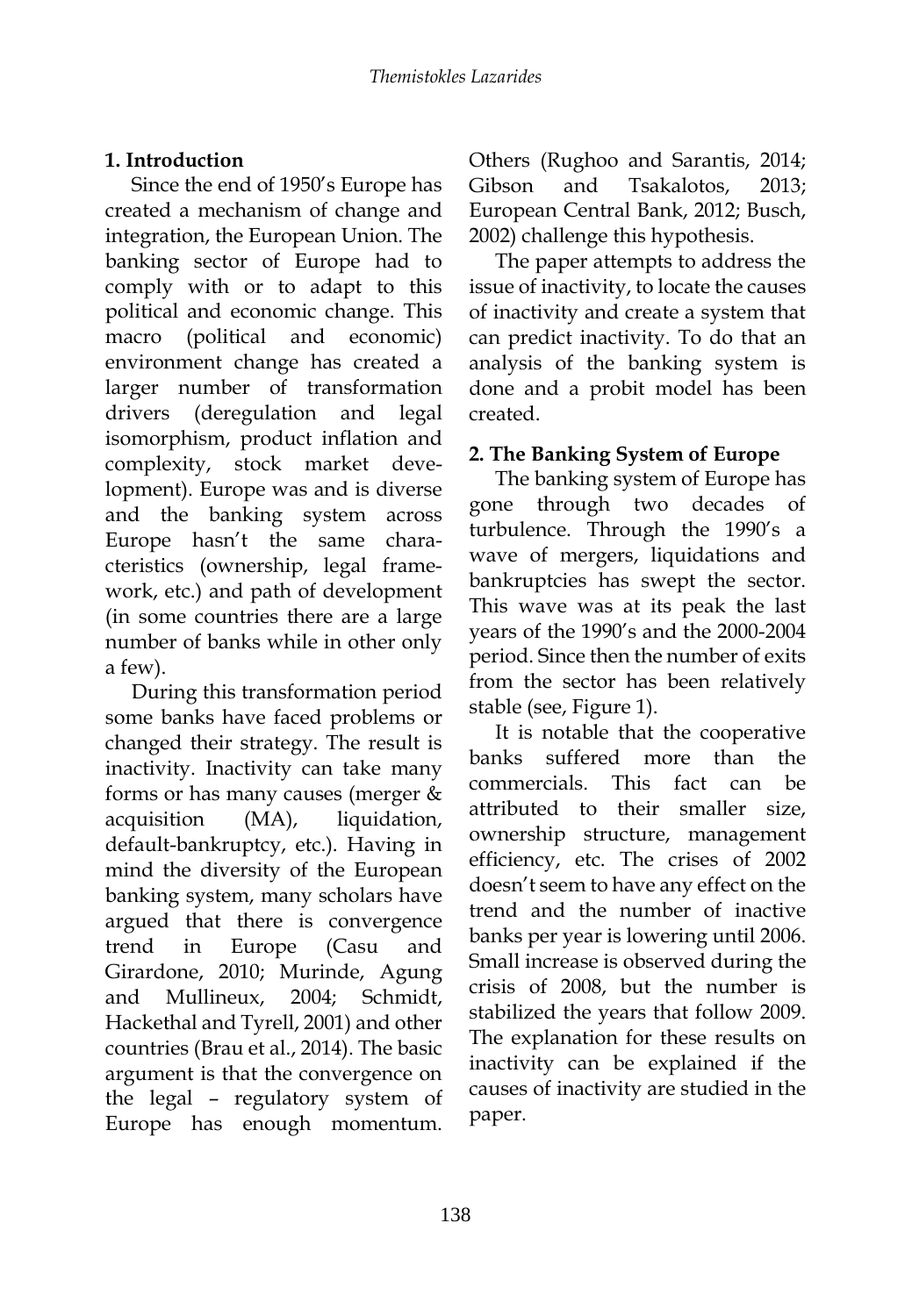## **1. Introduction**

Since the end of 1950's Europe has created a mechanism of change and integration, the European Union. The banking sector of Europe had to comply with or to adapt to this political and economic change. This macro (political and economic) environment change has created a larger number of transformation drivers (deregulation and legal isomorphism, product inflation and complexity, stock market development). Europe was and is diverse and the banking system across Europe hasn't the same characteristics (ownership, legal framework, etc.) and path of development (in some countries there are a large number of banks while in other only a few).

During this transformation period some banks have faced problems or changed their strategy. The result is inactivity. Inactivity can take many forms or has many causes (merger & acquisition (MA), liquidation, default-bankruptcy, etc.). Having in mind the diversity of the European banking system, many scholars have argued that there is convergence trend in Europe (Casu and Girardone, 2010; Murinde, Agung and Mullineux, 2004; Schmidt, Hackethal and Tyrell, 2001) and other countries (Brau et al., 2014). The basic argument is that the convergence on the legal – regulatory system of Europe has enough momentum.

Others (Rughoo and Sarantis, 2014; Gibson and Tsakalotos, 2013; European Central Bank, 2012; Busch, 2002) challenge this hypothesis.

The paper attempts to address the issue of inactivity, to locate the causes of inactivity and create a system that can predict inactivity. To do that an analysis of the banking system is done and a probit model has been created.

## **2. The Banking System of Europe**

The banking system of Europe has gone through two decades of turbulence. Through the 1990's a wave of mergers, liquidations and bankruptcies has swept the sector. This wave was at its peak the last years of the 1990's and the 2000-2004 period. Since then the number of exits from the sector has been relatively stable (see, Figure 1).

It is notable that the cooperative banks suffered more than the commercials. This fact can be attributed to their smaller size, ownership structure, management efficiency, etc. The crises of 2002 doesn't seem to have any effect on the trend and the number of inactive banks per year is lowering until 2006. Small increase is observed during the crisis of 2008, but the number is stabilized the years that follow 2009. The explanation for these results on inactivity can be explained if the causes of inactivity are studied in the paper.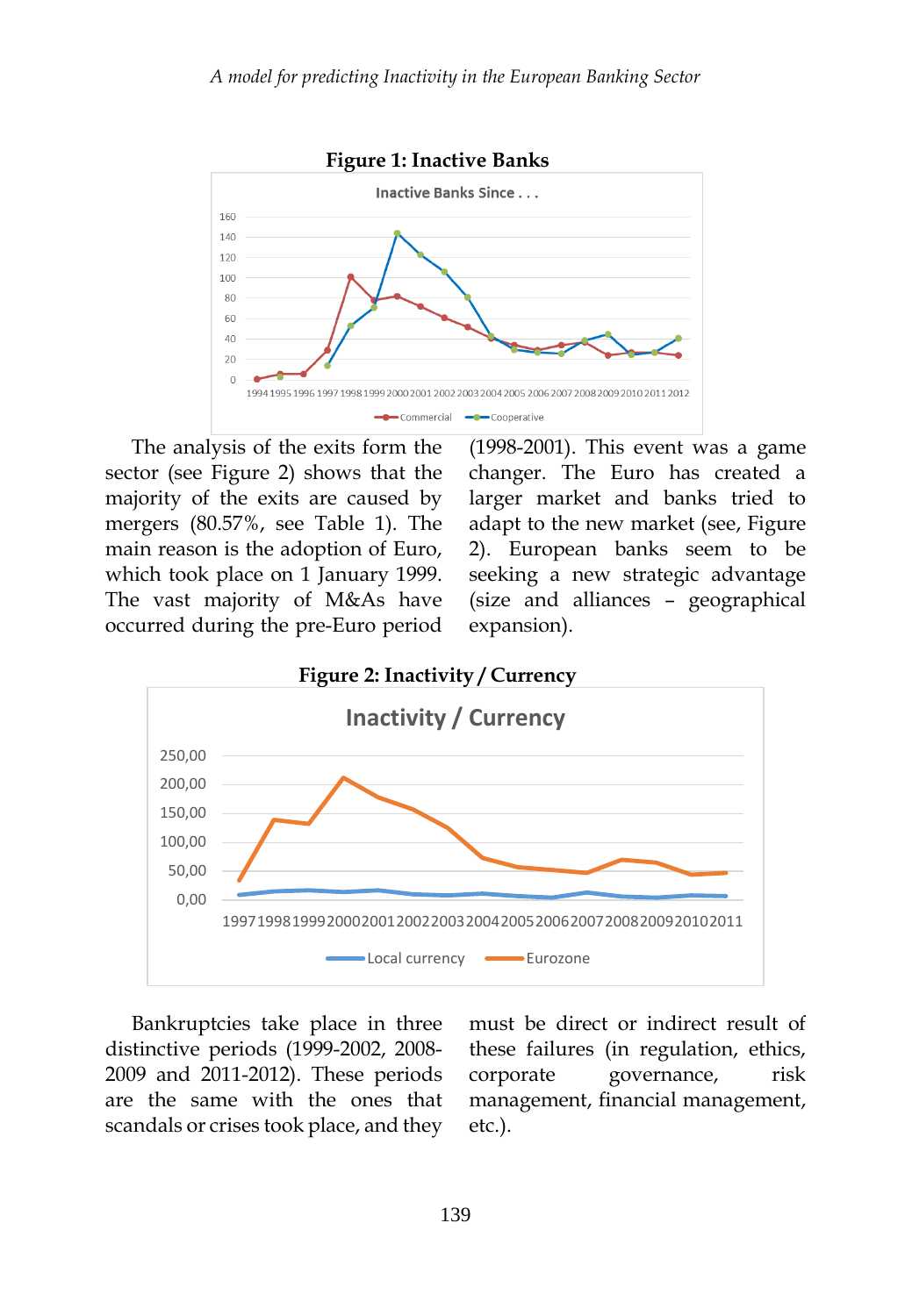

The analysis of the exits form the sector (see Figure 2) shows that the majority of the exits are caused by mergers (80.57%, see Table 1). The main reason is the adoption of Euro, which took place on 1 January 1999. The vast majority of M&As have occurred during the pre-Euro period (1998-2001). This event was a game changer. The Euro has created a larger market and banks tried to adapt to the new market (see, Figure 2). European banks seem to be seeking a new strategic advantage (size and alliances – geographical expansion).



Bankruptcies take place in three distinctive periods (1999-2002, 2008- 2009 and 2011-2012). These periods are the same with the ones that scandals or crises took place, and they must be direct or indirect result of these failures (in regulation, ethics, corporate governance, risk management, financial management, etc.).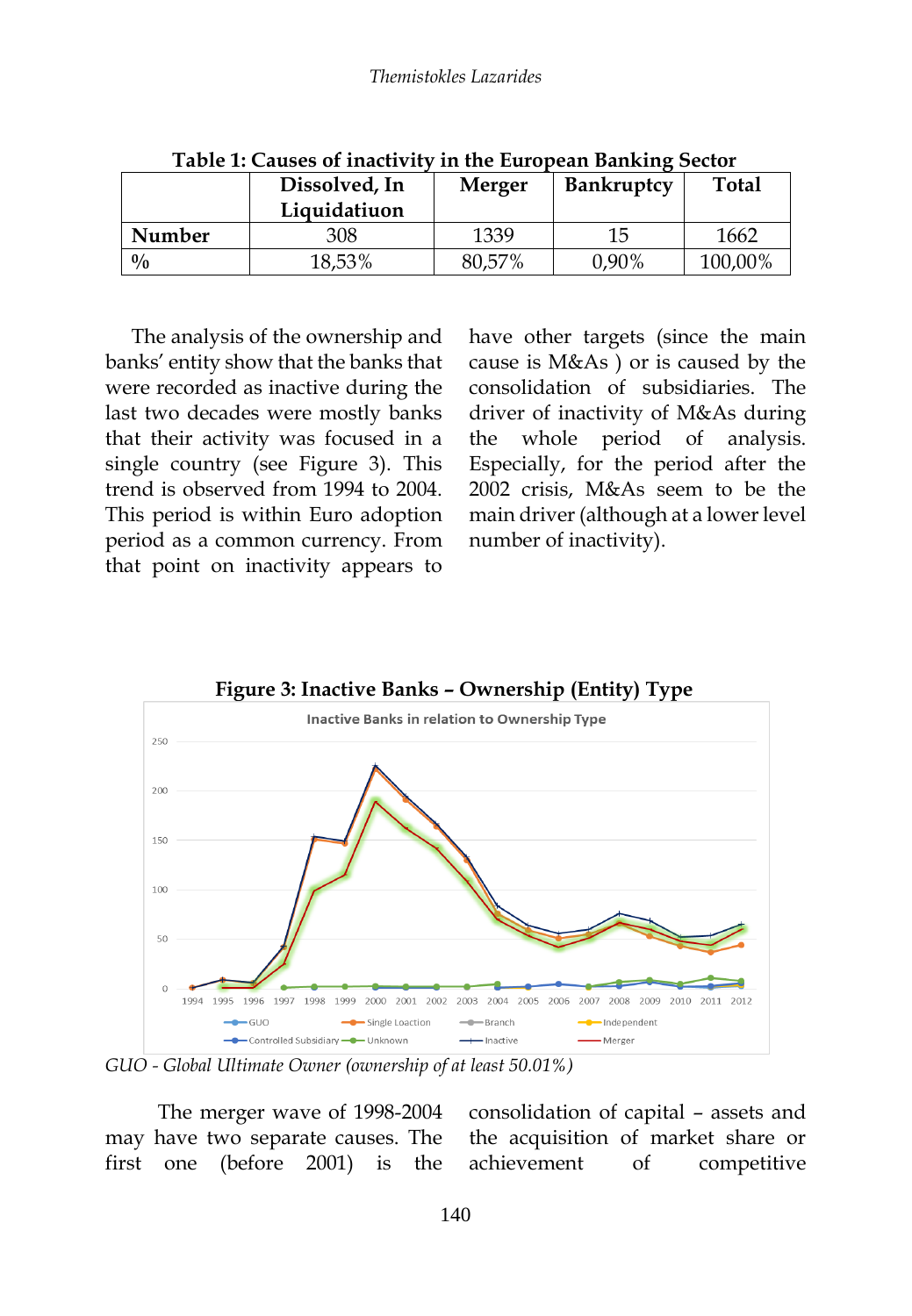|               | Dissolved, In<br>Liquidatiuon | <b>Merger</b> | Bankruptcy | Total   |
|---------------|-------------------------------|---------------|------------|---------|
| Number        | 308                           | 1339          | 15         | 1662    |
| $\frac{0}{0}$ | 18,53%                        | 80,57%        | 0,90%      | 100,00% |

**Table 1: Causes of inactivity in the European Banking Sector**

The analysis of the ownership and banks' entity show that the banks that were recorded as inactive during the last two decades were mostly banks that their activity was focused in a single country (see Figure 3). This trend is observed from 1994 to 2004. This period is within Euro adoption period as a common currency. From that point on inactivity appears to

have other targets (since the main cause is M&As ) or is caused by the consolidation of subsidiaries. The driver of inactivity of M&As during the whole period of analysis. Especially, for the period after the 2002 crisis, M&As seem to be the main driver (although at a lower level number of inactivity).



*GUO - Global Ultimate Owner (ownership of at least 50.01%)*

The merger wave of 1998-2004 may have two separate causes. The first one (before 2001) is the

consolidation of capital – assets and the acquisition of market share or achievement of competitive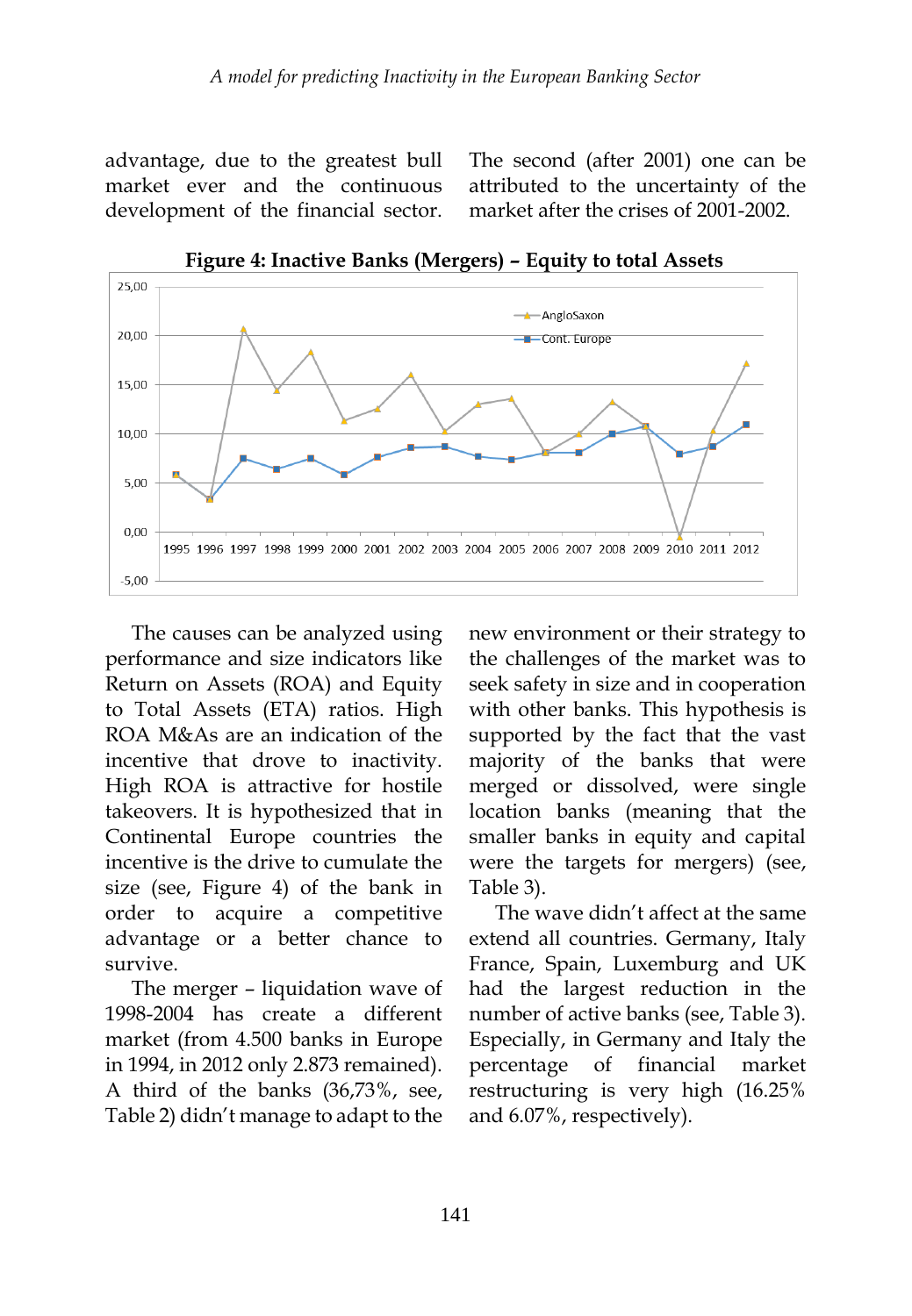advantage, due to the greatest bull market ever and the continuous development of the financial sector. The second (after 2001) one can be attributed to the uncertainty of the market after the crises of 2001-2002.



**Figure 4: Inactive Banks (Mergers) – Equity to total Assets**

The causes can be analyzed using performance and size indicators like Return on Assets (ROA) and Equity to Total Assets (ETA) ratios. High ROA M&As are an indication of the incentive that drove to inactivity. High ROA is attractive for hostile takeovers. It is hypothesized that in Continental Europe countries the incentive is the drive to cumulate the size (see, Figure 4) of the bank in order to acquire a competitive advantage or a better chance to survive.

The merger – liquidation wave of 1998-2004 has create a different market (from 4.500 banks in Europe in 1994, in 2012 only 2.873 remained). A third of the banks (36,73%, see, Table 2) didn't manage to adapt to the new environment or their strategy to the challenges of the market was to seek safety in size and in cooperation with other banks. This hypothesis is supported by the fact that the vast majority of the banks that were merged or dissolved, were single location banks (meaning that the smaller banks in equity and capital were the targets for mergers) (see, Table 3).

The wave didn't affect at the same extend all countries. Germany, Italy France, Spain, Luxemburg and UK had the largest reduction in the number of active banks (see, Table 3). Especially, in Germany and Italy the percentage of financial market restructuring is very high (16.25% and 6.07%, respectively).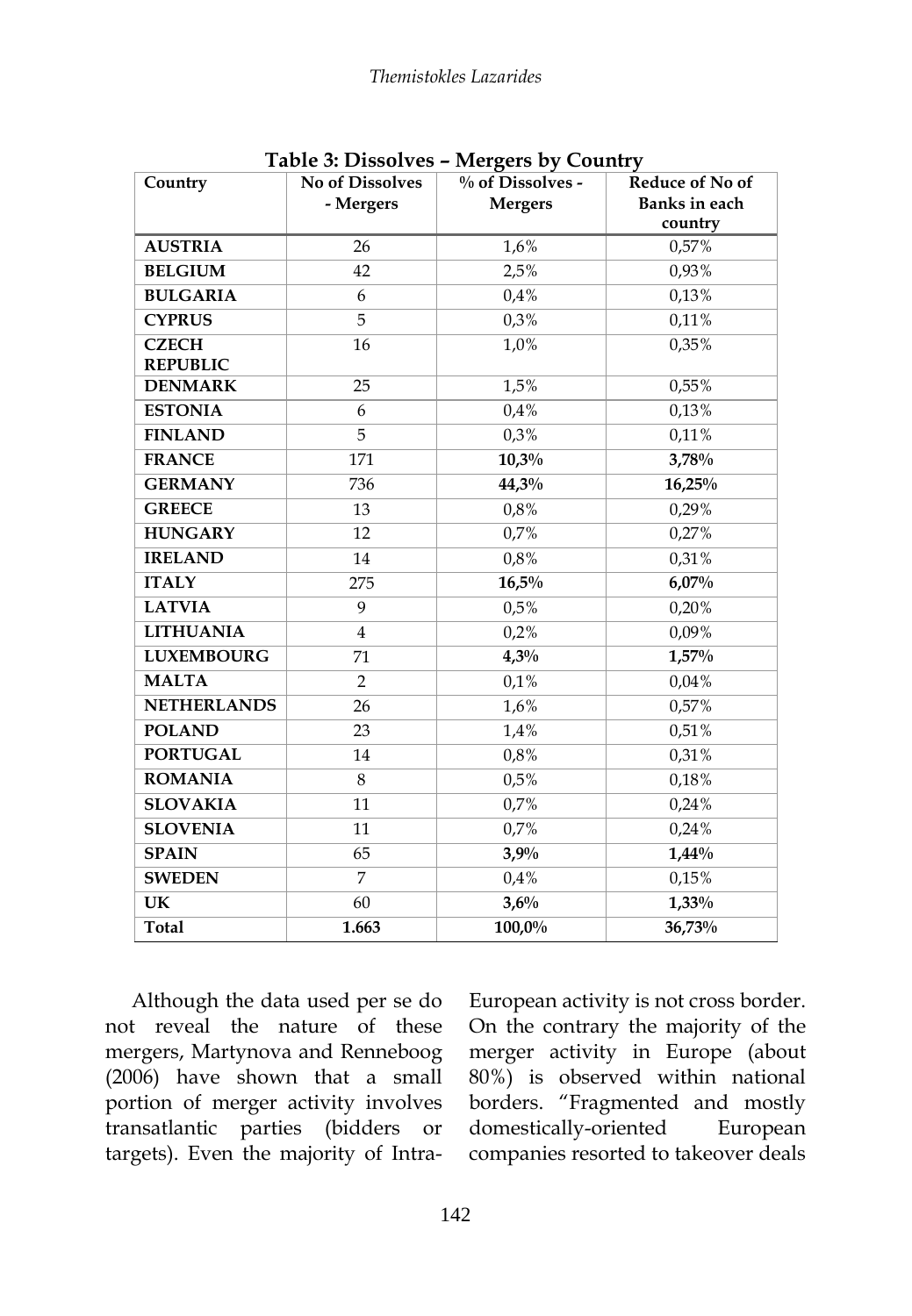| Country                         | <b>No of Dissolves</b><br>- Mergers | $\sigma$ –<br>% of Dissolves -<br><b>Mergers</b> | Reduce of No of<br>Banks in each<br>country |
|---------------------------------|-------------------------------------|--------------------------------------------------|---------------------------------------------|
| <b>AUSTRIA</b>                  | 26                                  | 1,6%                                             | 0,57%                                       |
| <b>BELGIUM</b>                  | 42                                  | 2,5%                                             | 0,93%                                       |
| <b>BULGARIA</b>                 | 6                                   | 0.4%                                             | 0,13%                                       |
| <b>CYPRUS</b>                   | $\overline{5}$                      | 0,3%                                             | 0,11%                                       |
| <b>CZECH</b><br><b>REPUBLIC</b> | 16                                  | 1,0%                                             | 0,35%                                       |
| <b>DENMARK</b>                  | 25                                  | 1,5%                                             | 0,55%                                       |
| <b>ESTONIA</b>                  | 6                                   | 0.4%                                             | 0,13%                                       |
| <b>FINLAND</b>                  | 5                                   | 0,3%                                             | 0,11%                                       |
| <b>FRANCE</b>                   | 171                                 | 10,3%                                            | 3,78%                                       |
| <b>GERMANY</b>                  | 736                                 | 44,3%                                            | 16,25%                                      |
| <b>GREECE</b>                   | 13                                  | 0,8%                                             | 0,29%                                       |
| <b>HUNGARY</b>                  | 12                                  | 0,7%                                             | 0,27%                                       |
| <b>IRELAND</b>                  | 14                                  | 0,8%                                             | 0,31%                                       |
| <b>ITALY</b>                    | 275                                 | 16,5%                                            | 6,07%                                       |
| <b>LATVIA</b>                   | 9                                   | 0,5%                                             | 0,20%                                       |
| <b>LITHUANIA</b>                | 4                                   | 0,2%                                             | 0,09%                                       |
| <b>LUXEMBOURG</b>               | 71                                  | 4,3%                                             | 1,57%                                       |
| <b>MALTA</b>                    | $\overline{2}$                      | 0,1%                                             | 0,04%                                       |
| <b>NETHERLANDS</b>              | 26                                  | 1,6%                                             | 0,57%                                       |
| <b>POLAND</b>                   | 23                                  | 1,4%                                             | 0,51%                                       |
| <b>PORTUGAL</b>                 | 14                                  | 0,8%                                             | 0,31%                                       |
| <b>ROMANIA</b>                  | 8                                   | 0,5%                                             | 0,18%                                       |
| <b>SLOVAKIA</b>                 | 11                                  | 0,7%                                             | 0,24%                                       |
| <b>SLOVENIA</b>                 | 11                                  | 0.7%                                             | 0,24%                                       |
| <b>SPAIN</b>                    | 65                                  | 3,9%                                             | $1,44\%$                                    |
| <b>SWEDEN</b>                   | $\overline{7}$                      | 0.4%                                             | 0,15%                                       |
| UK                              | 60                                  | 3,6%                                             | 1,33%                                       |
| <b>Total</b>                    | 1.663                               | 100,0%                                           | 36,73%                                      |

**Table 3: Dissolves – Mergers by Country**

Although the data used per se do not reveal the nature of these mergers, Martynova and Renneboog (2006) have shown that a small portion of merger activity involves transatlantic parties (bidders or targets). Even the majority of IntraEuropean activity is not cross border. On the contrary the majority of the merger activity in Europe (about 80%) is observed within national borders. "Fragmented and mostly domestically-oriented European companies resorted to takeover deals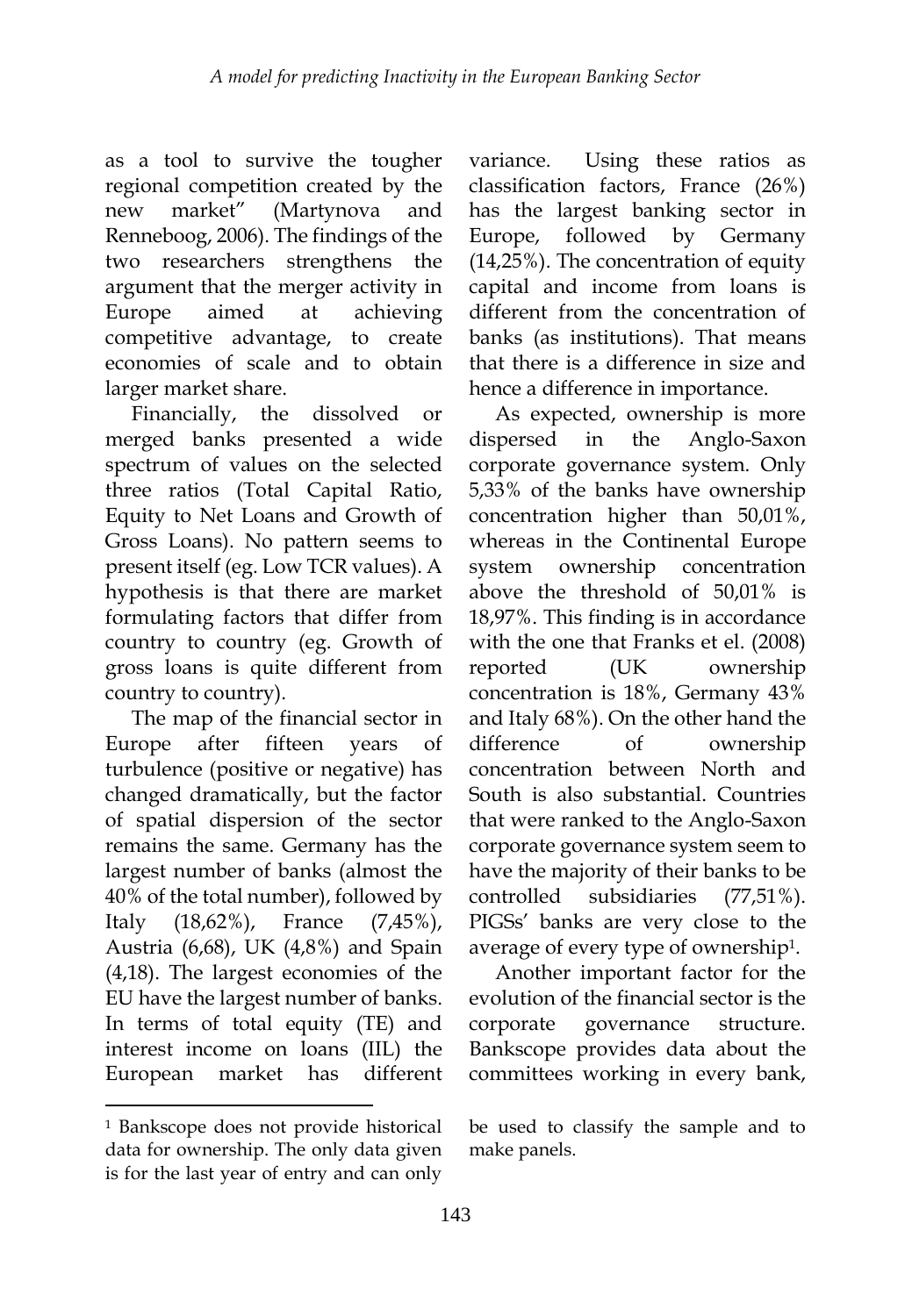as a tool to survive the tougher regional competition created by the new market" (Martynova and Renneboog, 2006). The findings of the two researchers strengthens the argument that the merger activity in Europe aimed at achieving competitive advantage, to create economies of scale and to obtain larger market share.

Financially, the dissolved or merged banks presented a wide spectrum of values on the selected three ratios (Total Capital Ratio, Equity to Net Loans and Growth of Gross Loans). No pattern seems to present itself (eg. Low TCR values). A hypothesis is that there are market formulating factors that differ from country to country (eg. Growth of gross loans is quite different from country to country).

The map of the financial sector in Europe after fifteen years of turbulence (positive or negative) has changed dramatically, but the factor of spatial dispersion of the sector remains the same. Germany has the largest number of banks (almost the 40% of the total number), followed by Italy (18,62%), France (7,45%), Austria (6,68), UK (4,8%) and Spain (4,18). The largest economies of the EU have the largest number of banks. In terms of total equity (TE) and interest income on loans (IIL) the European market has different

1

variance. Using these ratios as classification factors, France (26%) has the largest banking sector in Europe, followed by Germany (14,25%). The concentration of equity capital and income from loans is different from the concentration of banks (as institutions). That means that there is a difference in size and hence a difference in importance.

As expected, ownership is more dispersed in the Anglo-Saxon corporate governance system. Only 5,33% of the banks have ownership concentration higher than 50,01%, whereas in the Continental Europe system ownership concentration above the threshold of 50,01% is 18,97%. This finding is in accordance with the one that Franks et el. (2008) reported (UK ownership concentration is 18%, Germany 43% and Italy 68%). On the other hand the difference of ownership concentration between North and South is also substantial. Countries that were ranked to the Anglo-Saxon corporate governance system seem to have the majority of their banks to be controlled subsidiaries (77,51%). PIGSs' banks are very close to the average of every type of ownership1.

Another important factor for the evolution of the financial sector is the corporate governance structure. Bankscope provides data about the committees working in every bank,

<sup>1</sup> Bankscope does not provide historical data for ownership. The only data given is for the last year of entry and can only

be used to classify the sample and to make panels.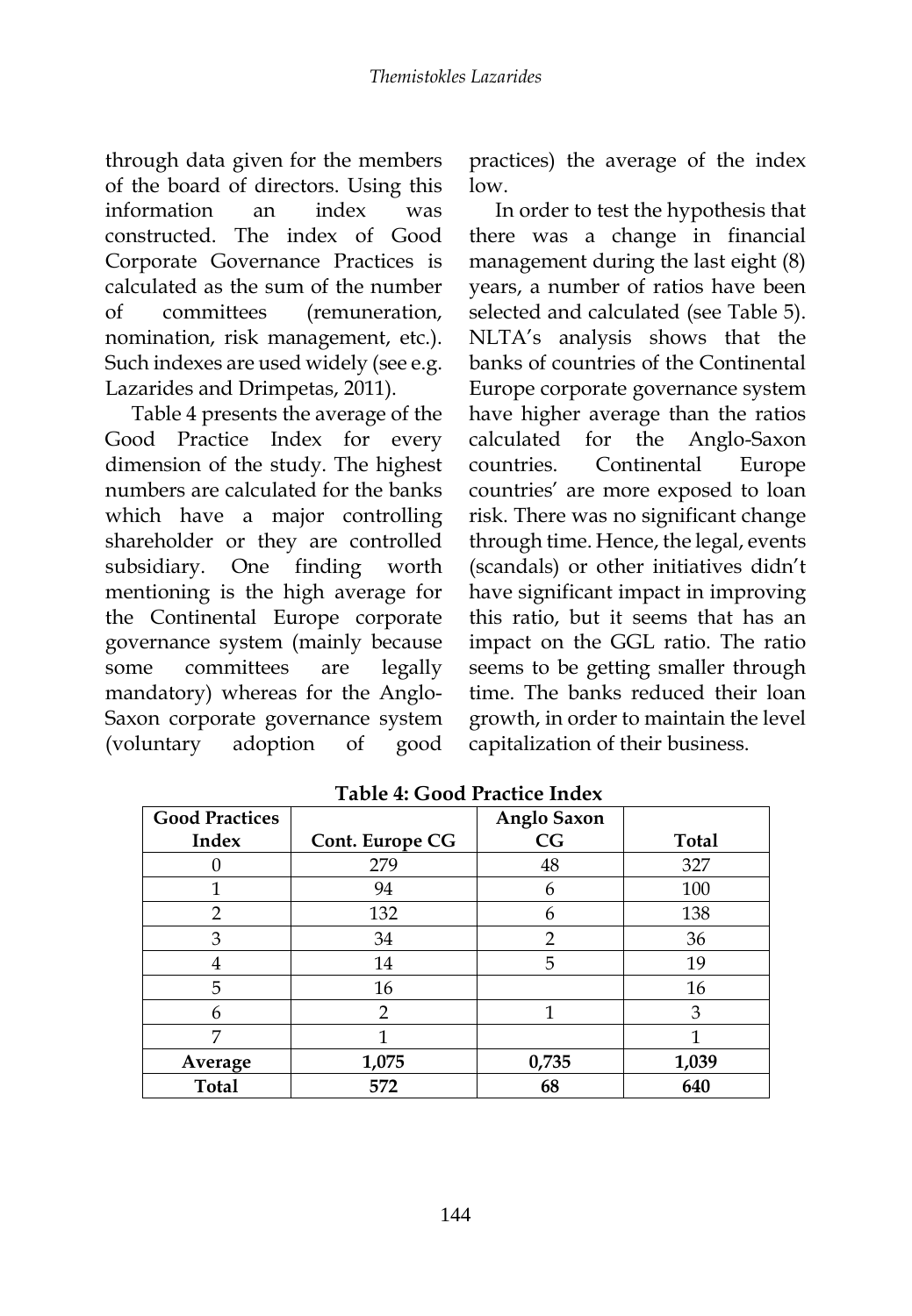through data given for the members of the board of directors. Using this information an index was constructed. The index of Good Corporate Governance Practices is calculated as the sum of the number of committees (remuneration, nomination, risk management, etc.). Such indexes are used widely (see e.g. Lazarides and Drimpetas, 2011).

Table 4 presents the average of the Good Practice Index for every dimension of the study. The highest numbers are calculated for the banks which have a major controlling shareholder or they are controlled subsidiary. One finding worth mentioning is the high average for the Continental Europe corporate governance system (mainly because some committees are legally mandatory) whereas for the Anglo-Saxon corporate governance system (voluntary adoption of good

practices) the average of the index low.

In order to test the hypothesis that there was a change in financial management during the last eight (8) years, a number of ratios have been selected and calculated (see Table 5). NLTA's analysis shows that the banks of countries of the Continental Europe corporate governance system have higher average than the ratios calculated for the Anglo-Saxon countries. Continental Europe countries' are more exposed to loan risk. There was no significant change through time. Hence, the legal, events (scandals) or other initiatives didn't have significant impact in improving this ratio, but it seems that has an impact on the GGL ratio. The ratio seems to be getting smaller through time. The banks reduced their loan growth, in order to maintain the level capitalization of their business.

| <b>Good Practices</b> |                 | <b>Anglo Saxon</b> |              |
|-----------------------|-----------------|--------------------|--------------|
| Index                 | Cont. Europe CG | CG                 | <b>Total</b> |
|                       | 279             | 48                 | 327          |
| 1                     | 94              | 6                  | 100          |
| 2                     | 132             | 6                  | 138          |
| 3                     | 34              | $\overline{2}$     | 36           |
| 4                     | 14              | 5                  | 19           |
| 5                     | 16              |                    | 16           |
| 6                     | $\overline{2}$  | 1                  | 3            |
| 7                     |                 |                    |              |
| Average               | 1,075           | 0,735              | 1,039        |
| <b>Total</b>          | 572             | 68                 | 640          |

**Table 4: Good Practice Index**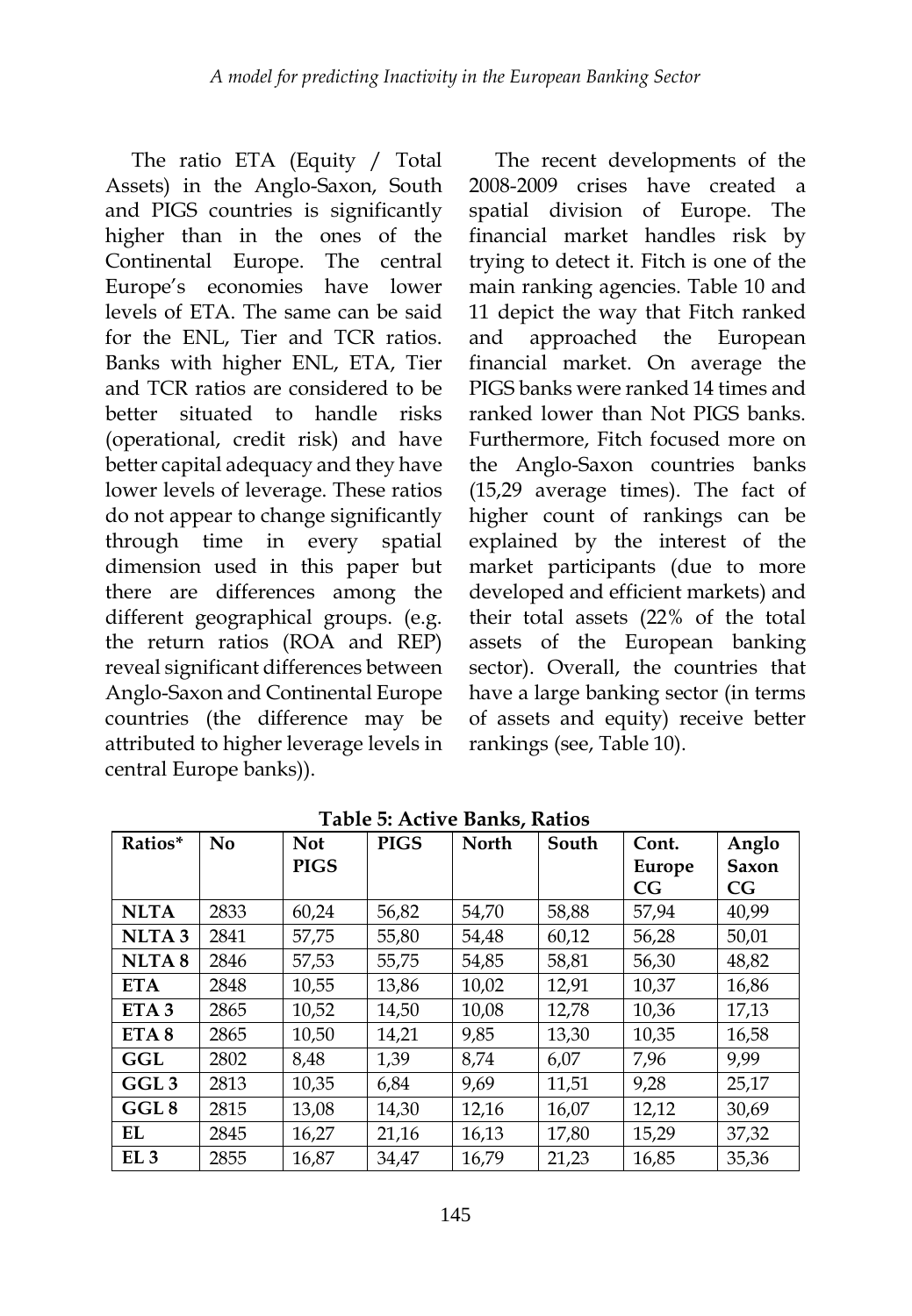The ratio ETA (Equity / Total Assets) in the Anglo-Saxon, South and PIGS countries is significantly higher than in the ones of the Continental Europe. The central Europe's economies have lower levels of ETA. The same can be said for the ENL, Tier and TCR ratios. Banks with higher ENL, ETA, Tier and TCR ratios are considered to be better situated to handle risks (operational, credit risk) and have better capital adequacy and they have lower levels of leverage. These ratios do not appear to change significantly through time in every spatial dimension used in this paper but there are differences among the different geographical groups. (e.g. the return ratios (ROA and REP) reveal significant differences between Anglo-Saxon and Continental Europe countries (the difference may be attributed to higher leverage levels in central Europe banks)).

The recent developments of the 2008-2009 crises have created a spatial division of Europe. The financial market handles risk by trying to detect it. Fitch is one of the main ranking agencies. Table 10 and 11 depict the way that Fitch ranked and approached the European financial market. On average the PIGS banks were ranked 14 times and ranked lower than Not PIGS banks. Furthermore, Fitch focused more on the Anglo-Saxon countries banks (15,29 average times). The fact of higher count of rankings can be explained by the interest of the market participants (due to more developed and efficient markets) and their total assets (22% of the total assets of the European banking sector). Overall, the countries that have a large banking sector (in terms of assets and equity) receive better rankings (see, Table 10).

| Ratios*           | No   | <b>Not</b>  | <b>PIGS</b> | <b>North</b> | South | Cont.  | Anglo |
|-------------------|------|-------------|-------------|--------------|-------|--------|-------|
|                   |      | <b>PIGS</b> |             |              |       | Europe | Saxon |
|                   |      |             |             |              |       | CG     | CG    |
| <b>NLTA</b>       | 2833 | 60,24       | 56,82       | 54,70        | 58,88 | 57,94  | 40,99 |
| NLTA <sub>3</sub> | 2841 | 57,75       | 55,80       | 54,48        | 60,12 | 56,28  | 50,01 |
| NLTA <sub>8</sub> | 2846 | 57,53       | 55,75       | 54,85        | 58,81 | 56,30  | 48,82 |
| <b>ETA</b>        | 2848 | 10,55       | 13,86       | 10,02        | 12,91 | 10,37  | 16,86 |
| ETA <sub>3</sub>  | 2865 | 10,52       | 14.50       | 10,08        | 12,78 | 10,36  | 17,13 |
| ETA <sub>8</sub>  | 2865 | 10,50       | 14,21       | 9,85         | 13,30 | 10,35  | 16,58 |
| GGL               | 2802 | 8,48        | 1,39        | 8,74         | 6,07  | 7,96   | 9,99  |
| GGL <sub>3</sub>  | 2813 | 10,35       | 6.84        | 9.69         | 11,51 | 9.28   | 25,17 |
| GGL <sub>8</sub>  | 2815 | 13,08       | 14,30       | 12,16        | 16,07 | 12,12  | 30,69 |
| EL                | 2845 | 16,27       | 21,16       | 16,13        | 17,80 | 15,29  | 37,32 |
| EL <sub>3</sub>   | 2855 | 16.87       | 34.47       | 16.79        | 21.23 | 16,85  | 35,36 |

**Table 5: Active Banks, Ratios**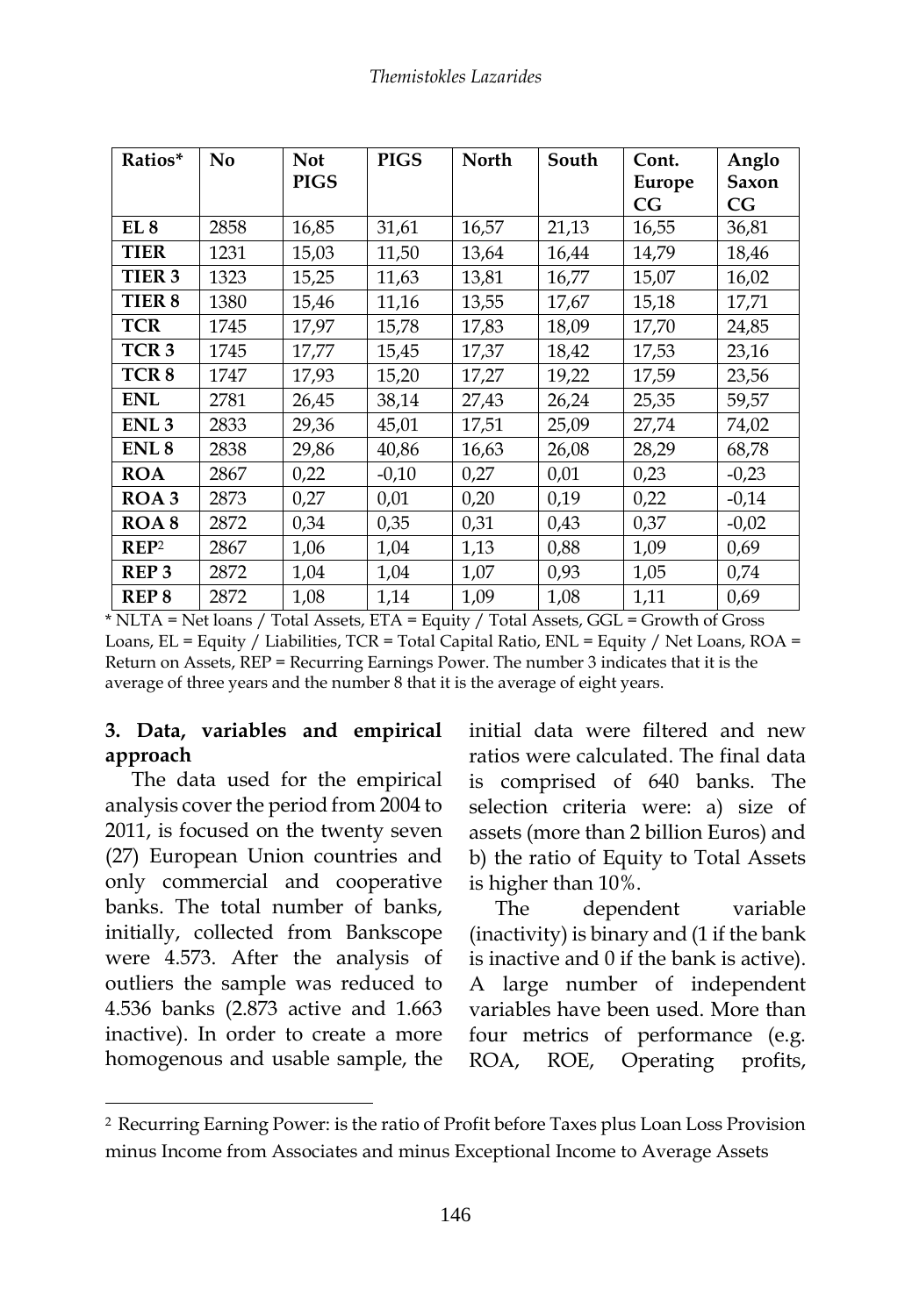| Ratios*          | N <sub>0</sub> | <b>Not</b><br><b>PIGS</b> | <b>PIGS</b> | <b>North</b> | South | Cont.<br>Europe | Anglo<br>Saxon |
|------------------|----------------|---------------------------|-------------|--------------|-------|-----------------|----------------|
|                  |                |                           |             |              |       | CG              | CG             |
| EL 8             | 2858           | 16,85                     | 31,61       | 16,57        | 21,13 | 16,55           | 36,81          |
| <b>TIER</b>      | 1231           | 15,03                     | 11,50       | 13,64        | 16,44 | 14,79           | 18,46          |
| TIER 3           | 1323           | 15,25                     | 11,63       | 13,81        | 16,77 | 15,07           | 16,02          |
| TIER 8           | 1380           | 15,46                     | 11,16       | 13,55        | 17,67 | 15,18           | 17,71          |
| <b>TCR</b>       | 1745           | 17,97                     | 15,78       | 17,83        | 18,09 | 17,70           | 24,85          |
| TCR <sub>3</sub> | 1745           | 17,77                     | 15,45       | 17,37        | 18,42 | 17,53           | 23,16          |
| TCR <sub>8</sub> | 1747           | 17,93                     | 15,20       | 17,27        | 19,22 | 17,59           | 23,56          |
| <b>ENL</b>       | 2781           | 26,45                     | 38,14       | 27,43        | 26,24 | 25,35           | 59,57          |
| ENL <sub>3</sub> | 2833           | 29,36                     | 45,01       | 17,51        | 25,09 | 27,74           | 74,02          |
| ENL <sub>8</sub> | 2838           | 29,86                     | 40,86       | 16,63        | 26,08 | 28,29           | 68,78          |
| <b>ROA</b>       | 2867           | 0,22                      | $-0,10$     | 0,27         | 0,01  | 0,23            | $-0,23$        |
| ROA3             | 2873           | 0,27                      | 0,01        | 0,20         | 0,19  | 0,22            | $-0,14$        |
| ROA <sub>8</sub> | 2872           | 0,34                      | 0,35        | 0,31         | 0,43  | 0,37            | $-0,02$        |
| REP <sup>2</sup> | 2867           | 1,06                      | 1,04        | 1,13         | 0,88  | 1,09            | 0,69           |
| REP <sub>3</sub> | 2872           | 1,04                      | 1,04        | 1,07         | 0,93  | 1,05            | 0,74           |
| REP <sub>8</sub> | 2872           | 1,08                      | 1,14        | 1,09         | 1,08  | 1,11            | 0,69           |

\* NLTA = Net loans / Total Assets, ETA = Equity / Total Assets, GGL = Growth of Gross Loans, EL = Equity / Liabilities, TCR = Total Capital Ratio, ENL = Equity / Net Loans, ROA = Return on Assets, REP = Recurring Earnings Power. The number 3 indicates that it is the average of three years and the number 8 that it is the average of eight years.

## **3. Data, variables and empirical approach**

The data used for the empirical analysis cover the period from 2004 to 2011, is focused on the twenty seven (27) European Union countries and only commercial and cooperative banks. The total number of banks, initially, collected from Bankscope were 4.573. After the analysis of outliers the sample was reduced to 4.536 banks (2.873 active and 1.663 inactive). In order to create a more homogenous and usable sample, the

1

initial data were filtered and new ratios were calculated. The final data is comprised of 640 banks. The selection criteria were: a) size of assets (more than 2 billion Euros) and b) the ratio of Equity to Total Assets is higher than 10%.

The dependent variable (inactivity) is binary and (1 if the bank is inactive and 0 if the bank is active). A large number of independent variables have been used. More than four metrics of performance (e.g. ROA, ROE, Operating profits,

<sup>2</sup> Recurring Earning Power: is the ratio of Profit before Taxes plus Loan Loss Provision minus Income from Associates and minus Exceptional Income to Average Assets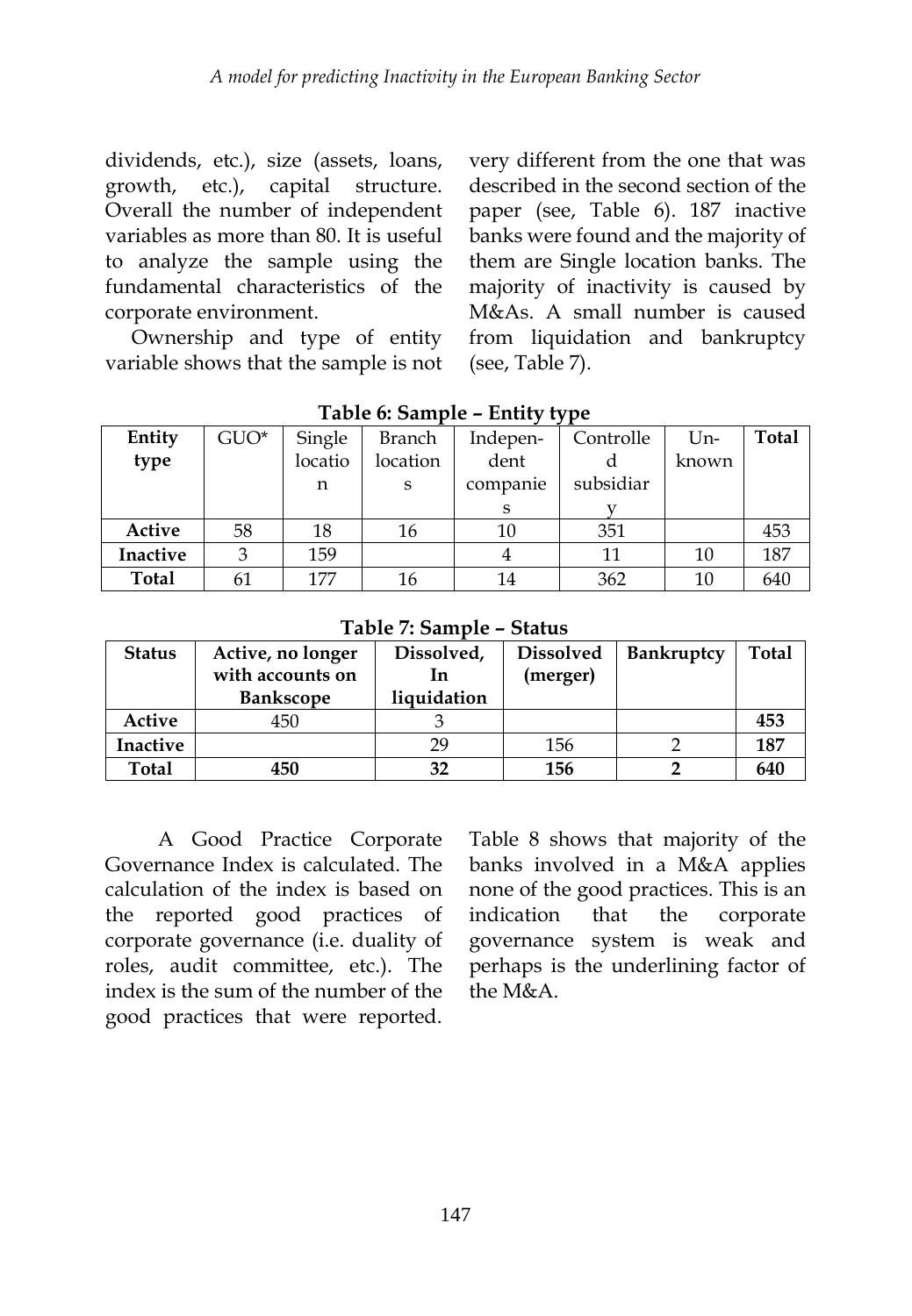dividends, etc.), size (assets, loans, growth, etc.), capital structure. Overall the number of independent variables as more than 80. It is useful to analyze the sample using the fundamental characteristics of the corporate environment.

Ownership and type of entity variable shows that the sample is not very different from the one that was described in the second section of the paper (see, Table 6). 187 inactive banks were found and the majority of them are Single location banks. The majority of inactivity is caused by M&As. A small number is caused from liquidation and bankruptcy (see, Table 7).

| Entity          | $GUO^*$ | Single  | Branch   | Indepen- | Controlle | Un-   | <b>Total</b> |
|-----------------|---------|---------|----------|----------|-----------|-------|--------------|
| type            |         | locatio | location | dent     |           | known |              |
|                 |         | n       | S        | companie | subsidiar |       |              |
|                 |         |         |          | S        |           |       |              |
| Active          | 58      | 18      | 16       | 10       | 351       |       | 453          |
| <b>Inactive</b> | 3       | 159     |          |          | 11        | 10    | 187          |
| <b>Total</b>    | 61      | 177     | 16       | 14       | 362       | 10    | 640          |

**Table 6: Sample – Entity type**

**Table 7: Sample – Status**

| <b>Status</b> | Active, no longer<br>with accounts on | Dissolved,<br>1n | <b>Dissolved</b><br>(merger) | <b>Bankruptcy</b> | <b>Total</b> |
|---------------|---------------------------------------|------------------|------------------------------|-------------------|--------------|
|               | <b>Bankscope</b>                      | liquidation      |                              |                   |              |
| Active        | 450                                   |                  |                              |                   | 453          |
| Inactive      |                                       | 29               | 156                          |                   | 187          |
| <b>Total</b>  | 450                                   | 32               | 156                          |                   | 640          |

A Good Practice Corporate Governance Index is calculated. The calculation of the index is based on the reported good practices of corporate governance (i.e. duality of roles, audit committee, etc.). The index is the sum of the number of the good practices that were reported.

Table 8 shows that majority of the banks involved in a M&A applies none of the good practices. This is an indication that the corporate governance system is weak and perhaps is the underlining factor of the M&A.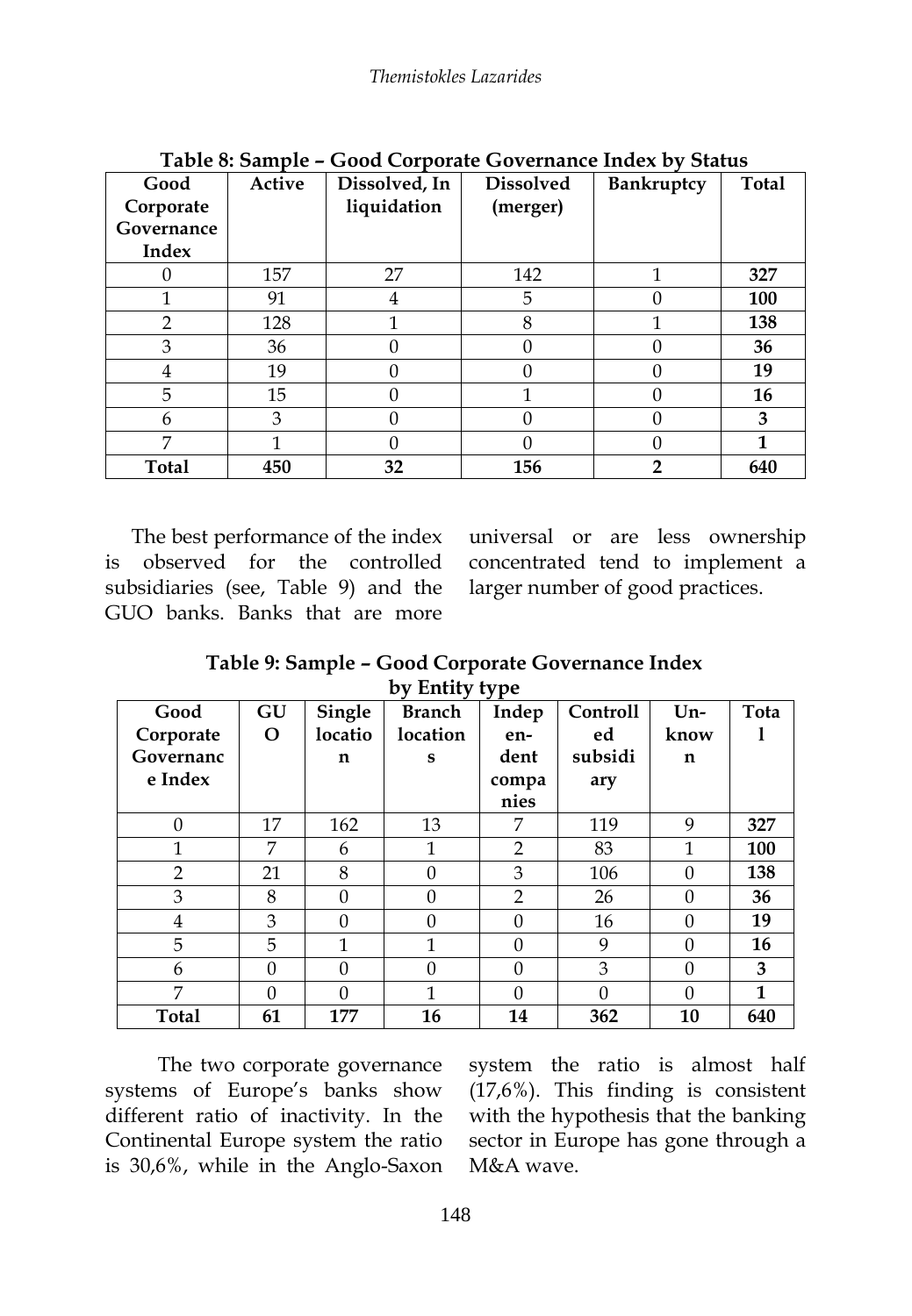| Good           | Active | Dissolved, In | <b>Dissolved</b> | <b>Bankruptcy</b> | <b>Total</b> |
|----------------|--------|---------------|------------------|-------------------|--------------|
| Corporate      |        | liquidation   | (merger)         |                   |              |
| Governance     |        |               |                  |                   |              |
| Index          |        |               |                  |                   |              |
| 0              | 157    | 27            | 142              | 1                 | 327          |
| 1              | 91     | 4             | 5                |                   | 100          |
| $\overline{2}$ | 128    | 1             | 8                |                   | 138          |
| 3              | 36     |               |                  |                   | 36           |
| 4              | 19     |               |                  |                   | 19           |
| 5              | 15     |               |                  |                   | 16           |
| 6              | 3      |               |                  |                   | 3            |
| 7              |        |               |                  |                   | 1            |
| <b>Total</b>   | 450    | 32            | 156              |                   | 640          |

**Table 8: Sample – Good Corporate Governance Index by Status**

The best performance of the index is observed for the controlled subsidiaries (see, Table 9) and the GUO banks. Banks that are more

universal or are less ownership concentrated tend to implement a larger number of good practices.

**Table 9: Sample – Good Corporate Governance Index by Entity type** 

| Good           | GU       | Single   | <b>Branch</b> | $\mathbf{v}$<br>Indep | <b>Controll</b> | $Un-$    | Tota         |
|----------------|----------|----------|---------------|-----------------------|-----------------|----------|--------------|
| Corporate      | O        | locatio  | location      | en-                   | ed              | know     |              |
| Governanc      |          | n        | S             | dent                  | subsidi         | n        |              |
| e Index        |          |          |               | compa                 | ary             |          |              |
|                |          |          |               | nies                  |                 |          |              |
| $\theta$       | 17       | 162      | 13            | 7                     | 119             | 9        | 327          |
| 1              | 7        | 6        | $\mathbf{1}$  | 2                     | 83              | 1        | 100          |
| $\overline{2}$ | 21       | 8        | $\theta$      | 3                     | 106             | $\Omega$ | 138          |
| 3              | 8        | $\theta$ | $\theta$      | $\overline{2}$        | 26              | $\Omega$ | 36           |
| $\overline{4}$ | 3        | $\Omega$ | $\Omega$      | $\Omega$              | 16              | $\Omega$ | 19           |
| 5              | 5        | 1        | $\mathbf{1}$  | $\theta$              | 9               | $\theta$ | 16           |
| 6              | $\theta$ | $\Omega$ | $\Omega$      | $\theta$              | 3               | $\Omega$ | 3            |
| 7              | 0        | $\Omega$ | 1             | $\Omega$              | $\Omega$        | $\Omega$ | $\mathbf{1}$ |
| <b>Total</b>   | 61       | 177      | 16            | 14                    | 362             | 10       | 640          |

The two corporate governance systems of Europe's banks show different ratio of inactivity. In the Continental Europe system the ratio is 30,6%, while in the Anglo-Saxon

system the ratio is almost half (17,6%). This finding is consistent with the hypothesis that the banking sector in Europe has gone through a M&A wave.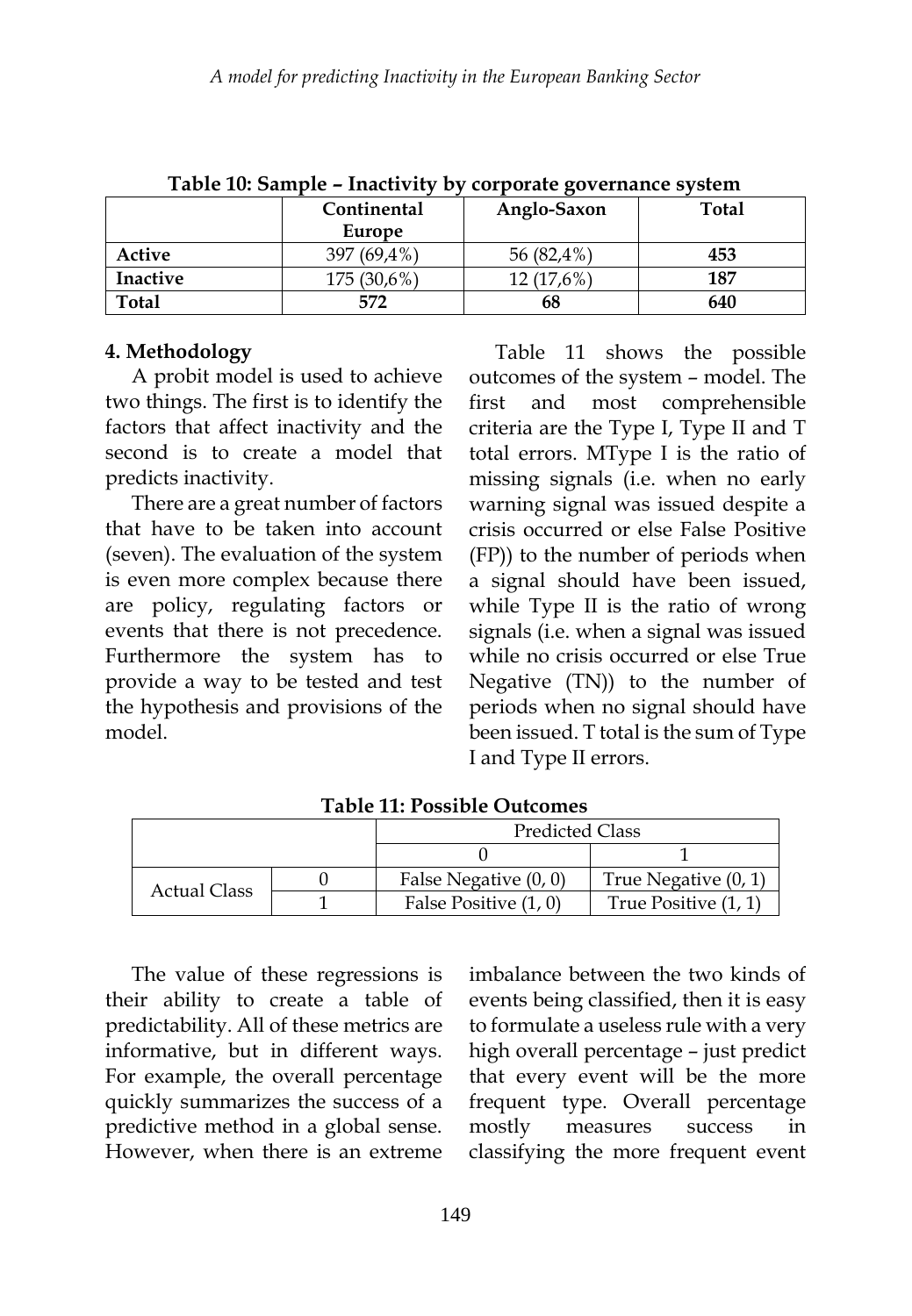|                 | Table To. Salilpic – Illactivity by corporate governance system<br>Continental<br>Europe | Anglo-Saxon | Total |
|-----------------|------------------------------------------------------------------------------------------|-------------|-------|
| Active          | 397 (69.4%)                                                                              | 56 (82,4%)  | 453   |
| <b>Inactive</b> | 175 (30,6%)                                                                              | 12 (17.6%)  | 187   |
| Total           | 572                                                                                      | 68          | 640   |

**Table 10: Sample – Inactivity by corporate governance system**

#### **4. Methodology**

A probit model is used to achieve two things. The first is to identify the factors that affect inactivity and the second is to create a model that predicts inactivity.

There are a great number of factors that have to be taken into account (seven). The evaluation of the system is even more complex because there are policy, regulating factors or events that there is not precedence. Furthermore the system has to provide a way to be tested and test the hypothesis and provisions of the model.

Table 11 shows the possible outcomes of the system – model. The first and most comprehensible criteria are the Type I, Type II and T total errors. MType I is the ratio of missing signals (i.e. when no early warning signal was issued despite a crisis occurred or else False Positive (FP)) to the number of periods when a signal should have been issued, while Type II is the ratio of wrong signals (i.e. when a signal was issued while no crisis occurred or else True Negative (TN)) to the number of periods when no signal should have been issued. T total is the sum of Type I and Type II errors.

|                     | <b>Predicted Class</b> |                      |
|---------------------|------------------------|----------------------|
|                     |                        |                      |
|                     | False Negative (0, 0)  | True Negative (0, 1) |
| <b>Actual Class</b> | False Positive (1, 0)  | True Positive (1, 1) |

**Table 11: Possible Outcomes**

The value of these regressions is their ability to create a table of predictability. All of these metrics are informative, but in different ways. For example, the overall percentage quickly summarizes the success of a predictive method in a global sense. However, when there is an extreme

imbalance between the two kinds of events being classified, then it is easy to formulate a useless rule with a very high overall percentage – just predict that every event will be the more frequent type. Overall percentage mostly measures success in classifying the more frequent event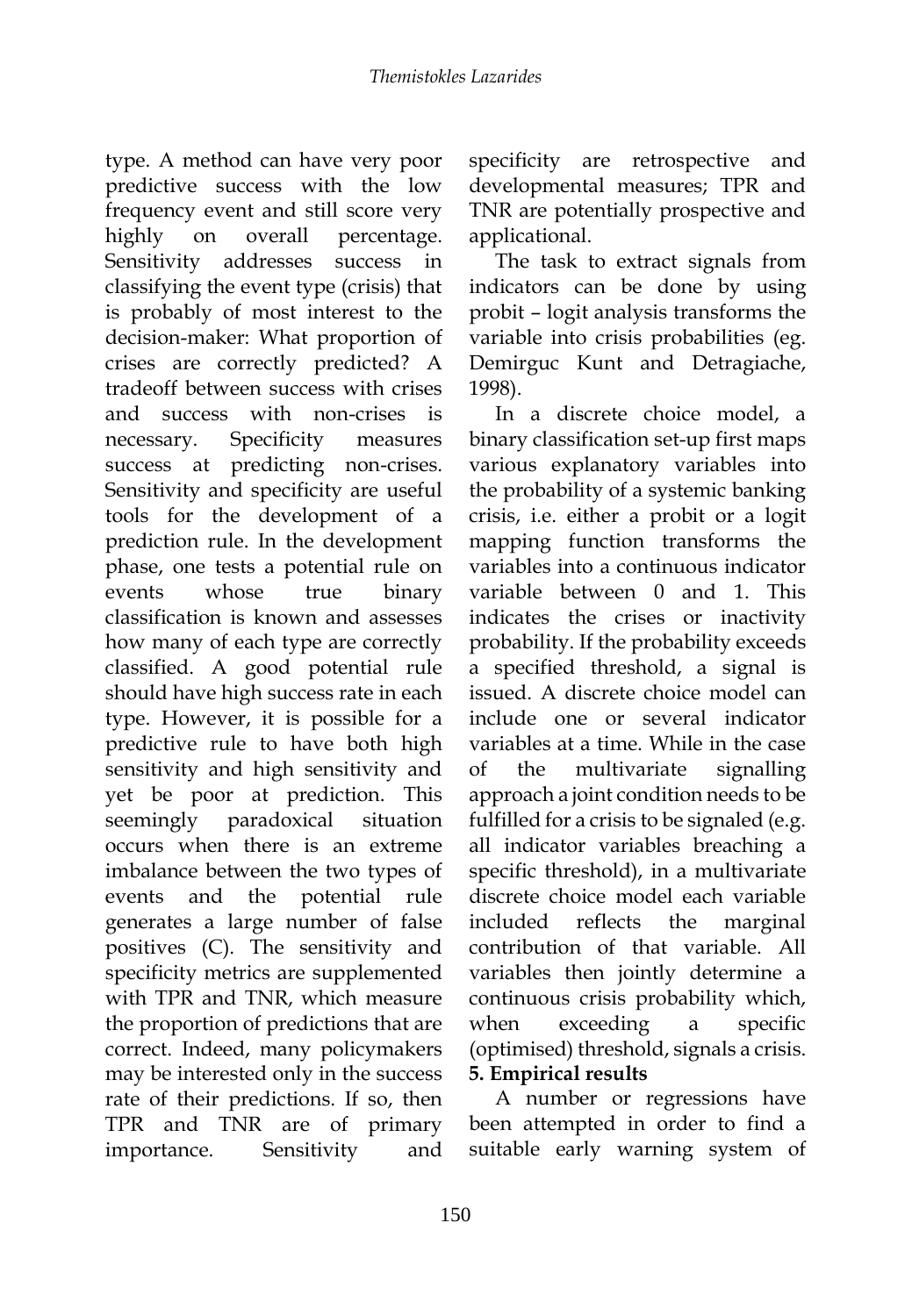type. A method can have very poor predictive success with the low frequency event and still score very highly on overall percentage. Sensitivity addresses success in classifying the event type (crisis) that is probably of most interest to the decision-maker: What proportion of crises are correctly predicted? A tradeoff between success with crises and success with non-crises is necessary. Specificity measures success at predicting non-crises. Sensitivity and specificity are useful tools for the development of a prediction rule. In the development phase, one tests a potential rule on events whose true binary classification is known and assesses how many of each type are correctly classified. A good potential rule should have high success rate in each type. However, it is possible for a predictive rule to have both high sensitivity and high sensitivity and yet be poor at prediction. This seemingly paradoxical situation occurs when there is an extreme imbalance between the two types of events and the potential rule generates a large number of false positives (C). The sensitivity and specificity metrics are supplemented with TPR and TNR, which measure the proportion of predictions that are correct. Indeed, many policymakers may be interested only in the success rate of their predictions. If so, then TPR and TNR are of primary importance. Sensitivity and

specificity are retrospective and developmental measures; TPR and TNR are potentially prospective and applicational.

The task to extract signals from indicators can be done by using probit – logit analysis transforms the variable into crisis probabilities (eg. Demirguc Kunt and Detragiache, 1998).

In a discrete choice model, a binary classification set-up first maps various explanatory variables into the probability of a systemic banking crisis, i.e. either a probit or a logit mapping function transforms the variables into a continuous indicator variable between 0 and 1. This indicates the crises or inactivity probability. If the probability exceeds a specified threshold, a signal is issued. A discrete choice model can include one or several indicator variables at a time. While in the case of the multivariate signalling approach a joint condition needs to be fulfilled for a crisis to be signaled (e.g. all indicator variables breaching a specific threshold), in a multivariate discrete choice model each variable included reflects the marginal contribution of that variable. All variables then jointly determine a continuous crisis probability which, when exceeding a specific (optimised) threshold, signals a crisis. **5. Empirical results**

A number or regressions have been attempted in order to find a suitable early warning system of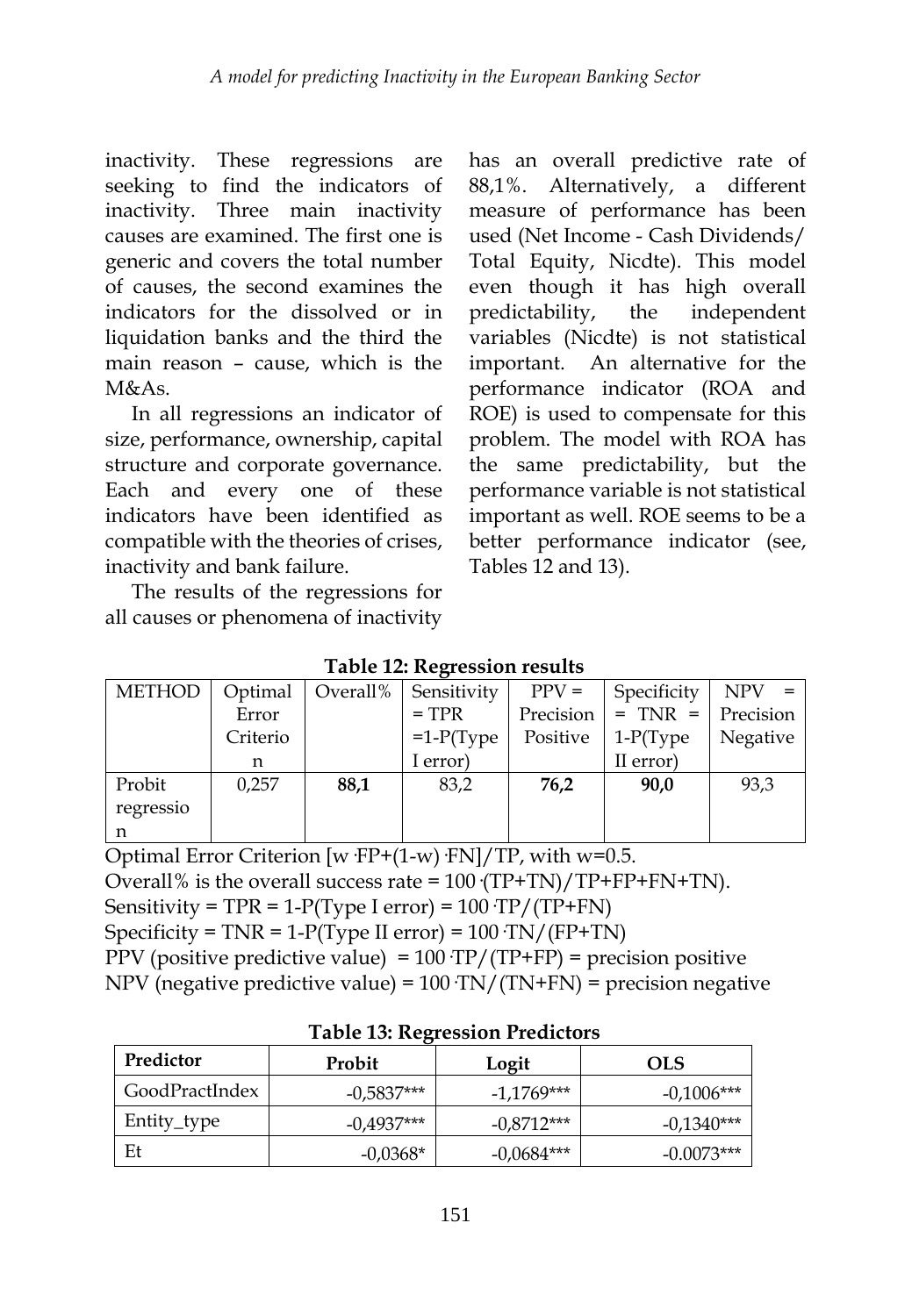inactivity. These regressions are seeking to find the indicators of inactivity. Three main inactivity causes are examined. The first one is generic and covers the total number of causes, the second examines the indicators for the dissolved or in liquidation banks and the third the main reason – cause, which is the M&As.

In all regressions an indicator of size, performance, ownership, capital structure and corporate governance. Each and every one of these indicators have been identified as compatible with the theories of crises, inactivity and bank failure.

The results of the regressions for all causes or phenomena of inactivity has an overall predictive rate of 88,1%. Alternatively, a different measure of performance has been used (Net Income - Cash Dividends/ Total Equity, Nicdte). This model even though it has high overall predictability, the independent variables (Nicdte) is not statistical important. An alternative for the performance indicator (ROA and ROE) is used to compensate for this problem. The model with ROA has the same predictability, but the performance variable is not statistical important as well. ROE seems to be a better performance indicator (see, Tables 12 and 13).

| <b>METHOD</b> |          | Optimal   Overall% | Sensitivity | $PPV =$   | Specificity | $NPV =$   |
|---------------|----------|--------------------|-------------|-----------|-------------|-----------|
|               | Error    |                    | $=$ TPR     | Precision | $=$ TNR $=$ | Precision |
|               | Criterio |                    | $=1-P(Type$ | Positive  | $1-P(Type$  | Negative  |
|               | n        |                    | I error)    |           | II error)   |           |
| Probit        | 0,257    | 88,1               | 83,2        | 76,2      | 90,0        | 93,3      |
| regressio     |          |                    |             |           |             |           |
| n             |          |                    |             |           |             |           |

**Table 12: Regression results**

Optimal Error Criterion [w  $FP+(1-w)$   $FN$ ]/TP, with w=0.5. Overall% is the overall success rate =  $100 \text{ (TP+TN)} / \text{TP+FP+FN+TN}$ . Sensitivity =  $TPR = 1-P(Type I error) = 100 TP/(TP+FN)$ Specificity =  $TNR = 1-P(Type II error) = 100 \cdot TN/(FP+TN)$ PPV (positive predictive value) =  $100 \text{ TP}/(\text{TP+FP})$  = precision positive NPV (negative predictive value) = 100·TN/(TN+FN) = precision negative

| Table 19. Regiession Ficantions |              |              |              |  |
|---------------------------------|--------------|--------------|--------------|--|
| Predictor                       | Probit       | Logit        | <b>OLS</b>   |  |
| GoodPractIndex                  | $-0.5837***$ | $-1,1769***$ | $-0.1006***$ |  |
| Entity_type                     | $-0.4937***$ | $-0.8712***$ | $-0.1340***$ |  |
| Et                              | $-0.0368*$   | $-0.0684***$ | $-0.0073***$ |  |

### **Table 13: Regression Predictors**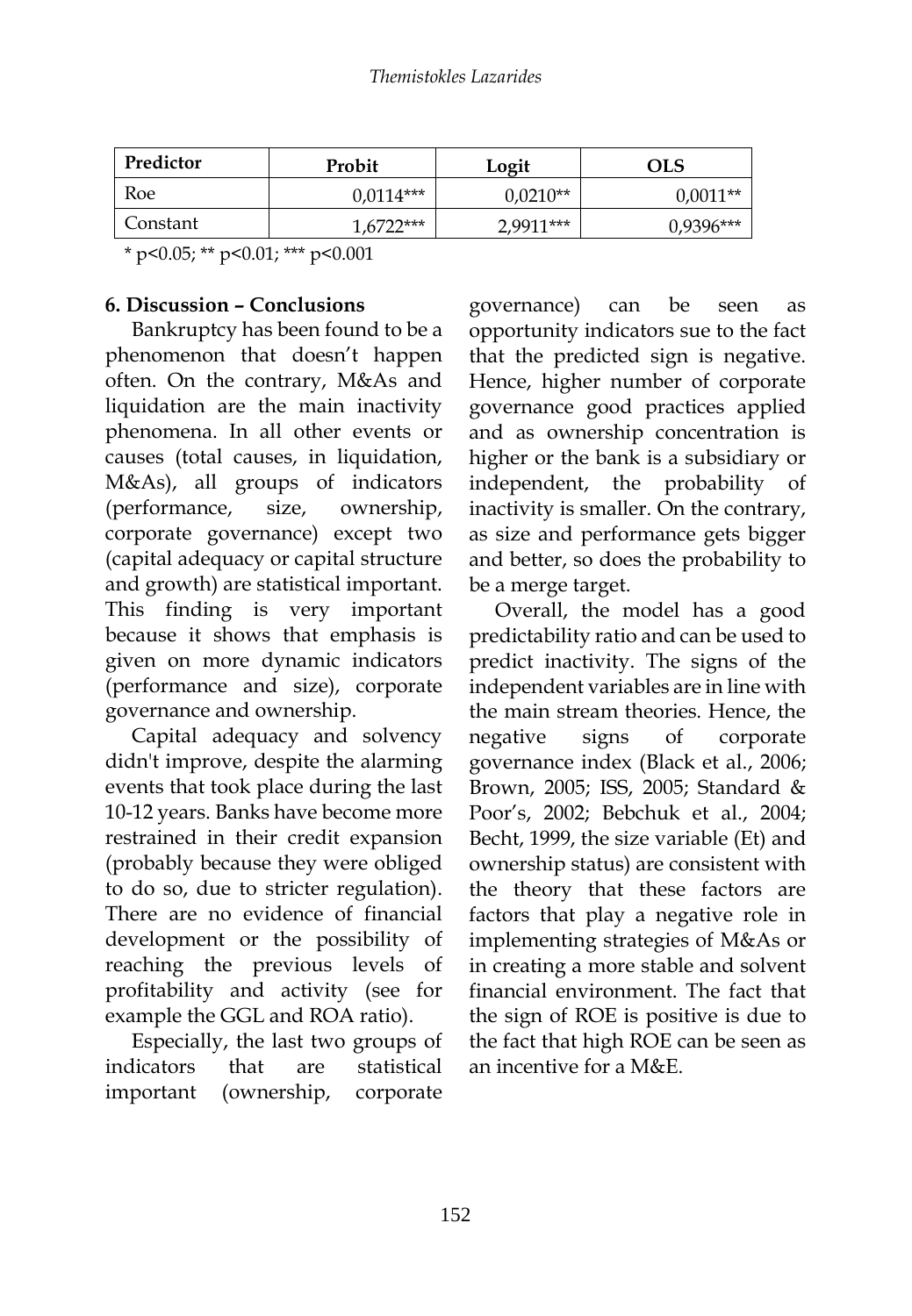| Predictor | Probit      | Logit      | OLS         |
|-----------|-------------|------------|-------------|
| Roe       | $0.0114***$ | $0.0210**$ | $0,0011**$  |
| Constant  | $6722***$   | 2,9911***  | $0.9396***$ |

\* p<0.05; \*\* p<0.01; \*\*\* p<0.001

### **6. Discussion – Conclusions**

Bankruptcy has been found to be a phenomenon that doesn't happen often. On the contrary, M&As and liquidation are the main inactivity phenomena. In all other events or causes (total causes, in liquidation, M&As), all groups of indicators (performance, size, ownership, corporate governance) except two (capital adequacy or capital structure and growth) are statistical important. This finding is very important because it shows that emphasis is given on more dynamic indicators (performance and size), corporate governance and ownership.

Capital adequacy and solvency didn't improve, despite the alarming events that took place during the last 10-12 years. Banks have become more restrained in their credit expansion (probably because they were obliged to do so, due to stricter regulation). There are no evidence of financial development or the possibility of reaching the previous levels of profitability and activity (see for example the GGL and ROA ratio).

Especially, the last two groups of indicators that are statistical important (ownership, corporate

governance) can be seen as opportunity indicators sue to the fact that the predicted sign is negative. Hence, higher number of corporate governance good practices applied and as ownership concentration is higher or the bank is a subsidiary or independent, the probability of inactivity is smaller. On the contrary, as size and performance gets bigger and better, so does the probability to be a merge target.

Overall, the model has a good predictability ratio and can be used to predict inactivity. The signs of the independent variables are in line with the main stream theories. Hence, the negative signs of corporate governance index (Black et al., 2006; Brown, 2005; ISS, 2005; Standard & Poor's, 2002; Bebchuk et al., 2004; Becht, 1999, the size variable (Et) and ownership status) are consistent with the theory that these factors are factors that play a negative role in implementing strategies of M&As or in creating a more stable and solvent financial environment. The fact that the sign of ROE is positive is due to the fact that high ROE can be seen as an incentive for a M&E.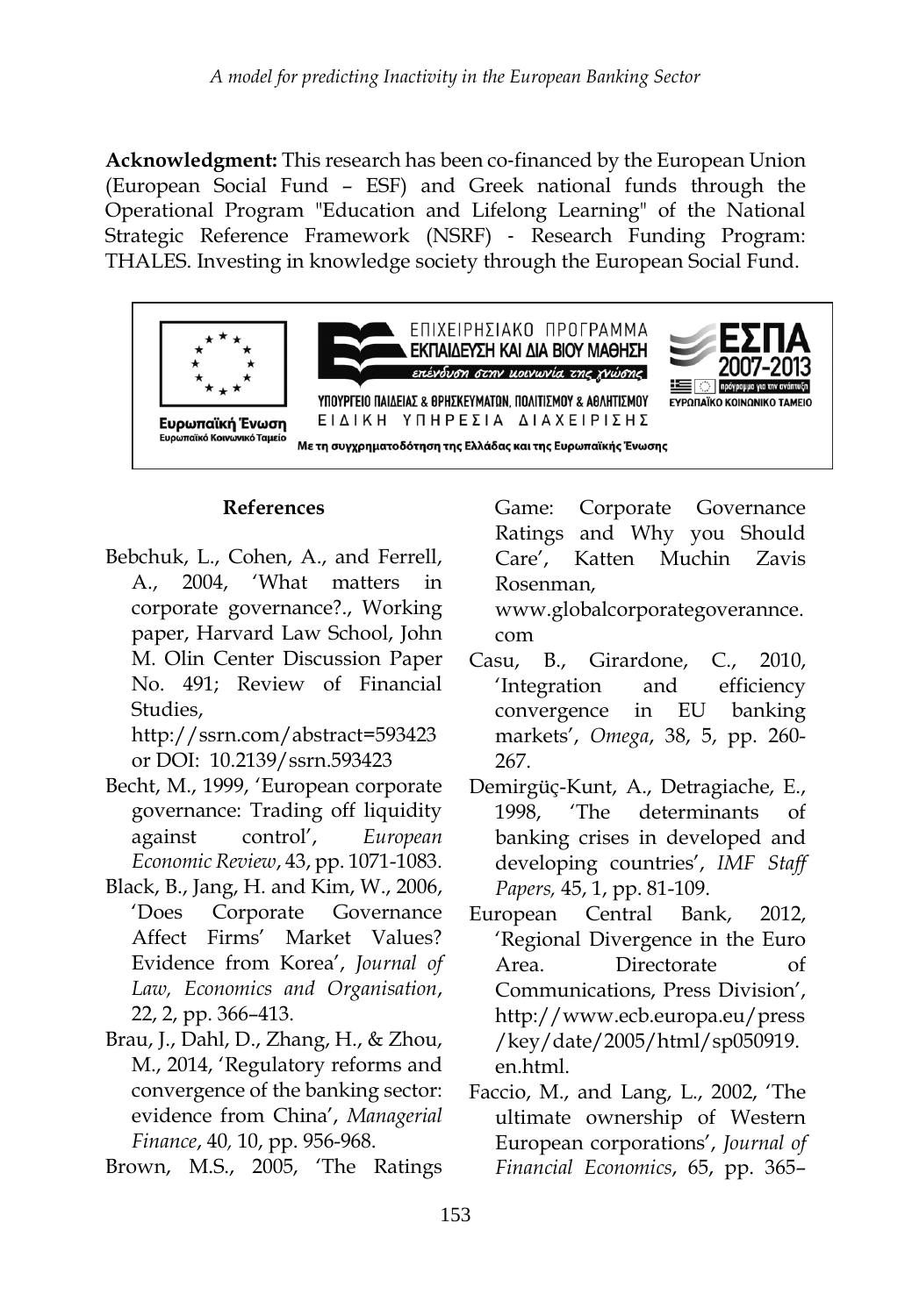**Acknowledgment:** This research has been co-financed by the European Union (European Social Fund – ESF) and Greek national funds through the Operational Program "Education and Lifelong Learning" of the National Strategic Reference Framework (NSRF) ‐ Research Funding Program: THALES. Investing in knowledge society through the European Social Fund.



### **References**

Bebchuk, L., Cohen, A., and Ferrell, A., 2004, 'What matters' corporate governance?., Working paper, Harvard Law School, John M. Olin Center Discussion Paper No. 491; Review of Financial Studies,

http://ssrn.com/abstract=593423 or DOI: 10.2139/ssrn.593423

- Becht, M., 1999, 'European corporate governance: Trading off liquidity against control', *European Economic Review*, 43, pp. 1071-1083.
- Black, B., Jang, H. and Kim, W., 2006, 'Does Corporate Governance Affect Firms' Market Values? Evidence from Korea', *Journal of Law, Economics and Organisation*, 22, 2, pp. 366–413.
- Brau, J., Dahl, D., Zhang, H., & Zhou, M., 2014, 'Regulatory reforms and convergence of the banking sector: evidence from China', *Managerial Finance*, 40*,* 10, pp. 956-968.
- Brown, M.S., 2005, 'The Ratings

Game: Corporate Governance Ratings and Why you Should Care', Katten Muchin Zavis Rosenman,

www.globalcorporategoverannce. com

- Casu, B., Girardone, C., 2010, 'Integration and efficiency convergence in EU banking markets', *Omega*, 38, 5, pp. 260- 267.
- Demirgüç-Kunt, A., Detragiache, E., 1998, 'The determinants of banking crises in developed and developing countries', *IMF Staff Papers,* 45, 1, pp. 81-109.
- European Central Bank, 2012, 'Regional Divergence in the Euro Area. Directorate of Communications, Press Division', http://www.ecb.europa.eu/press /key/date/2005/html/sp050919. en.html.
- Faccio, M., and Lang, L., 2002, 'The ultimate ownership of Western European corporations', *Journal of Financial Economics*, 65, pp. 365–